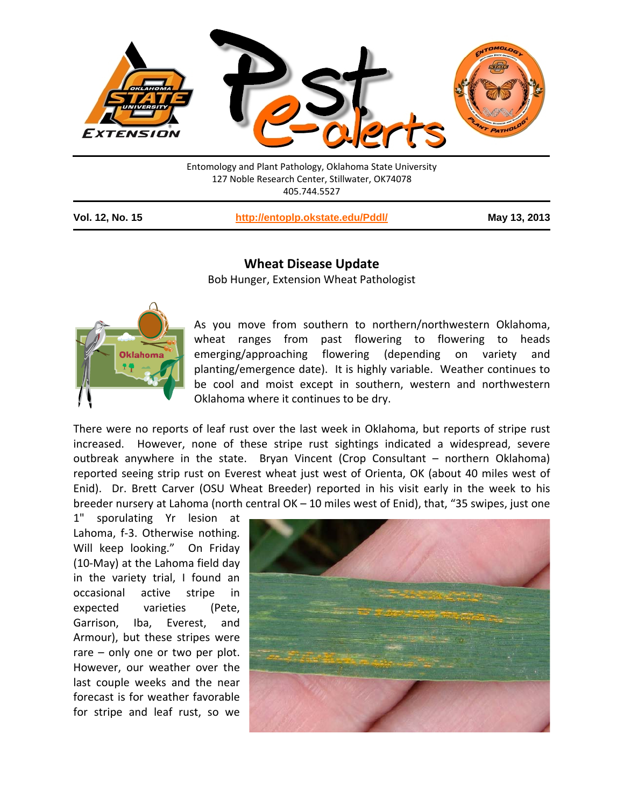

Entomology and Plant Pathology, Oklahoma State University 127 Noble Research Center, Stillwater, OK74078 405.744.5527

**Vol. 12, No. 15 <http://entoplp.okstate.edu/Pddl/> May 13, 2013**

## **Wheat Disease Update**

Bob Hunger, Extension Wheat Pathologist



As you move from southern to northern/northwestern Oklahoma, wheat ranges from past flowering to flowering to heads emerging/approaching flowering (depending on variety and planting/emergence date). It is highly variable. Weather continues to be cool and moist except in southern, western and northwestern Oklahoma where it continues to be dry.

There were no reports of leaf rust over the last week in Oklahoma, but reports of stripe rust increased. However, none of these stripe rust sightings indicated a widespread, severe outbreak anywhere in the state. Bryan Vincent (Crop Consultant – northern Oklahoma) reported seeing strip rust on Everest wheat just west of Orienta, OK (about 40 miles west of Enid). Dr. Brett Carver (OSU Wheat Breeder) reported in his visit early in the week to his breeder nursery at Lahoma (north central OK – 10 miles west of Enid), that, "35 swipes, just one

1" sporulating Yr lesion at Lahoma, f-3. Otherwise nothing. Will keep looking." On Friday (10-May) at the Lahoma field day in the variety trial, I found an occasional active stripe in expected varieties (Pete, Garrison, Iba, Everest, and Armour), but these stripes were rare – only one or two per plot. However, our weather over the last couple weeks and the near forecast is for weather favorable for stripe and leaf rust, so we

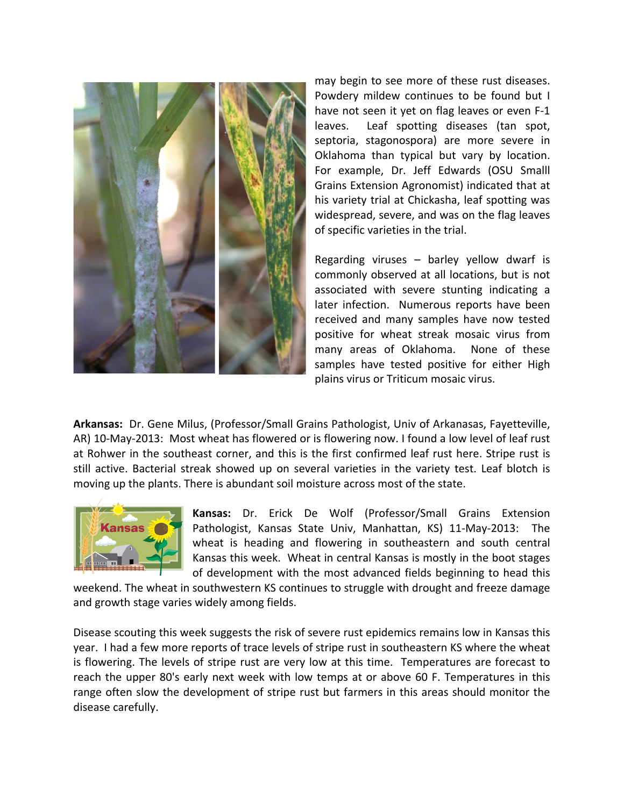

may begin to see more of these rust diseases. Powdery mildew continues to be found but I have not seen it yet on flag leaves or even F-1 leaves. Leaf spotting diseases (tan spot, septoria, stagonospora) are more severe in Oklahoma than typical but vary by location. For example, Dr. Jeff Edwards (OSU Smalll Grains Extension Agronomist) indicated that at his variety trial at Chickasha, leaf spotting was widespread, severe, and was on the flag leaves of specific varieties in the trial.

Regarding viruses – barley yellow dwarf is commonly observed at all locations, but is not associated with severe stunting indicating a later infection. Numerous reports have been received and many samples have now tested positive for wheat streak mosaic virus from many areas of Oklahoma. None of these samples have tested positive for either High plains virus or Triticum mosaic virus.

**Arkansas:** Dr. Gene Milus, (Professor/Small Grains Pathologist, Univ of Arkanasas, Fayetteville, AR) 10-May-2013: Most wheat has flowered or is flowering now. I found a low level of leaf rust at Rohwer in the southeast corner, and this is the first confirmed leaf rust here. Stripe rust is still active. Bacterial streak showed up on several varieties in the variety test. Leaf blotch is moving up the plants. There is abundant soil moisture across most of the state.



**Kansas:** Dr. Erick De Wolf (Professor/Small Grains Extension Pathologist, Kansas State Univ, Manhattan, KS) 11-May-2013: The wheat is heading and flowering in southeastern and south central Kansas this week. Wheat in central Kansas is mostly in the boot stages of development with the most advanced fields beginning to head this

weekend. The wheat in southwestern KS continues to struggle with drought and freeze damage and growth stage varies widely among fields.

Disease scouting this week suggests the risk of severe rust epidemics remains low in Kansas this year. I had a few more reports of trace levels of stripe rust in southeastern KS where the wheat is flowering. The levels of stripe rust are very low at this time. Temperatures are forecast to reach the upper 80's early next week with low temps at or above 60 F. Temperatures in this range often slow the development of stripe rust but farmers in this areas should monitor the disease carefully.